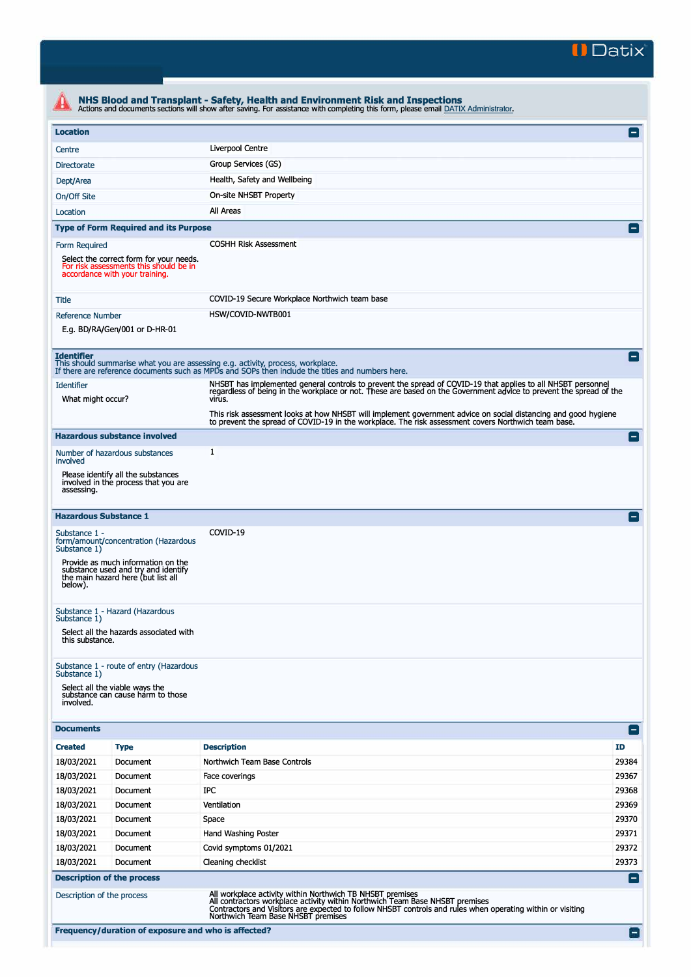

| <b>Location</b>                           |                                                                                                                     |                                                                                                                                                                                                                                                                                                     |                    |  |  |  |
|-------------------------------------------|---------------------------------------------------------------------------------------------------------------------|-----------------------------------------------------------------------------------------------------------------------------------------------------------------------------------------------------------------------------------------------------------------------------------------------------|--------------------|--|--|--|
| Centre                                    |                                                                                                                     | Liverpool Centre                                                                                                                                                                                                                                                                                    |                    |  |  |  |
| Group Services (GS)<br><b>Directorate</b> |                                                                                                                     |                                                                                                                                                                                                                                                                                                     |                    |  |  |  |
| Dept/Area                                 | Health, Safety and Wellbeing                                                                                        |                                                                                                                                                                                                                                                                                                     |                    |  |  |  |
| On/Off Site                               |                                                                                                                     | On-site NHSBT Property                                                                                                                                                                                                                                                                              |                    |  |  |  |
| Location                                  |                                                                                                                     | All Areas                                                                                                                                                                                                                                                                                           |                    |  |  |  |
|                                           |                                                                                                                     |                                                                                                                                                                                                                                                                                                     |                    |  |  |  |
|                                           | <b>Type of Form Required and its Purpose</b>                                                                        |                                                                                                                                                                                                                                                                                                     |                    |  |  |  |
| Form Required                             | Select the correct form for your needs.<br>For risk assessments this should be in<br>accordance with your training. | <b>COSHH Risk Assessment</b>                                                                                                                                                                                                                                                                        |                    |  |  |  |
| Title                                     | COVID-19 Secure Workplace Northwich team base                                                                       |                                                                                                                                                                                                                                                                                                     |                    |  |  |  |
| <b>Reference Number</b>                   |                                                                                                                     | HSW/COVID-NWTB001                                                                                                                                                                                                                                                                                   |                    |  |  |  |
|                                           | E.g. BD/RA/Gen/001 or D-HR-01                                                                                       |                                                                                                                                                                                                                                                                                                     |                    |  |  |  |
| <b>Identifier</b><br><b>Identifier</b>    |                                                                                                                     | This should summarise what you are assessing e.g. activity, process, workplace.<br>If there are reference documents such as MPDs and SOPs then include the titles and numbers here.<br>NHSBT has implemented general controls to prevent the spread of COVID-19 that applies to all NHSBT personnel | E                  |  |  |  |
| What might occur?                         |                                                                                                                     | regardless of being in the workplace or not. These are based on the Government advice to prevent the spread of the<br>virus.<br>This risk assessment looks at how NHSBT will implement government advice on social distancing and good hygiene                                                      |                    |  |  |  |
|                                           |                                                                                                                     | to prevent the spread of COVID-19 in the workplace. The risk assessment covers Northwich team base.                                                                                                                                                                                                 |                    |  |  |  |
|                                           | <b>Hazardous substance involved</b>                                                                                 |                                                                                                                                                                                                                                                                                                     | E                  |  |  |  |
| involved                                  | Number of hazardous substances                                                                                      | 1                                                                                                                                                                                                                                                                                                   |                    |  |  |  |
| assessing.                                | Please identify all the substances<br>involved in the process that you are                                          |                                                                                                                                                                                                                                                                                                     |                    |  |  |  |
| <b>Hazardous Substance 1</b>              |                                                                                                                     | COVID-19                                                                                                                                                                                                                                                                                            | $\left  - \right $ |  |  |  |
| Substance 1 -<br>Substance 1)             | form/amount/concentration (Hazardous                                                                                |                                                                                                                                                                                                                                                                                                     |                    |  |  |  |
| below).                                   | Provide as much information on the<br>substance used and try and identify<br>the main hazard here (but list all     |                                                                                                                                                                                                                                                                                                     |                    |  |  |  |
| Substance 1)                              | Substance 1 - Hazard (Hazardous                                                                                     |                                                                                                                                                                                                                                                                                                     |                    |  |  |  |
| this substance.                           | Select all the hazards associated with                                                                              |                                                                                                                                                                                                                                                                                                     |                    |  |  |  |
| Substance 1)                              | Substance 1 - route of entry (Hazardous                                                                             |                                                                                                                                                                                                                                                                                                     |                    |  |  |  |
| involved.                                 | Select all the viable ways the<br>substance can cause harm to those                                                 |                                                                                                                                                                                                                                                                                                     |                    |  |  |  |
| <b>Documents</b>                          |                                                                                                                     |                                                                                                                                                                                                                                                                                                     | $ - $              |  |  |  |
| <b>Created</b>                            | <b>Type</b>                                                                                                         | <b>Description</b>                                                                                                                                                                                                                                                                                  | ID                 |  |  |  |
| 18/03/2021                                | Document                                                                                                            | Northwich Team Base Controls                                                                                                                                                                                                                                                                        | 29384              |  |  |  |
| 18/03/2021                                | Document                                                                                                            | Face coverings                                                                                                                                                                                                                                                                                      | 29367              |  |  |  |
| 18/03/2021                                | Document                                                                                                            | IPC                                                                                                                                                                                                                                                                                                 | 29368              |  |  |  |
| 18/03/2021                                | Document                                                                                                            | Ventilation                                                                                                                                                                                                                                                                                         | 29369              |  |  |  |
| 18/03/2021                                | Document                                                                                                            | Space                                                                                                                                                                                                                                                                                               | 29370              |  |  |  |
| 18/03/2021                                | Document                                                                                                            | Hand Washing Poster                                                                                                                                                                                                                                                                                 | 29371              |  |  |  |
| 18/03/2021                                | Document                                                                                                            | Covid symptoms 01/2021                                                                                                                                                                                                                                                                              | 29372              |  |  |  |
| 18/03/2021                                | Document                                                                                                            | Cleaning checklist                                                                                                                                                                                                                                                                                  | 29373              |  |  |  |
|                                           | <b>Description of the process</b>                                                                                   |                                                                                                                                                                                                                                                                                                     | $\blacksquare$     |  |  |  |
| Description of the process                |                                                                                                                     | All workplace activity within Northwich TB NHSBT premises<br>All contractors workplace activity within Northwich Team Base NHSBT premises<br>Contractors and Visitors are expected to follow NHSBT controls and rules when operating within or visiting                                             |                    |  |  |  |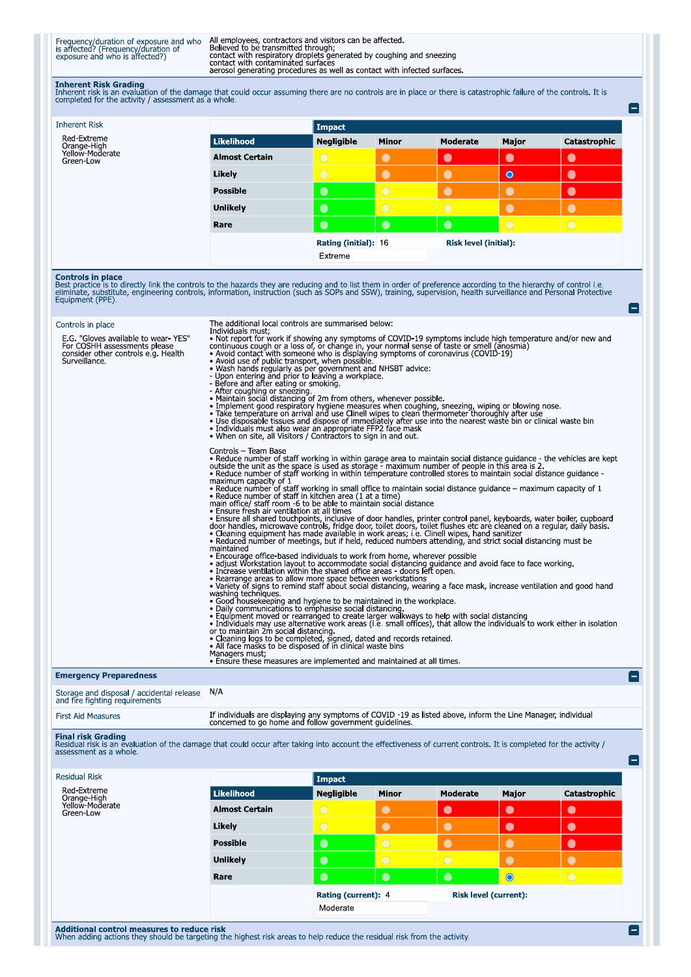Frequency/duration of exposure and who<br>is affected? (Frequency/duration of<br>exposure and who is affected?)

All employees, contractors and visitors can be affected.<br>Believed to be transmitted through;<br>contact with respiratory droplets generated by coughing and sneezing<br>contact with contaminated surfaces<br>aerosol generating proced

Inherent Risk Grading<br>Inherent risk is an evaluation of the damage that could occur assuming there are no controls are in place or there is catastrophic failure of the controls. It is<br>completed for the activity / assessmen

| <b>Inherent Risk</b>                                                                                                                                                                                                                                                                                                                                                                                                                                                                                         |                                                                                                                                                                                                                                                                                                                                                                                                                                                                                                                                                                                                                                                                                                                                                                                                                                       | <b>Impact</b>                                                                                                                                                                                                                                                                                                                                                                                                                                       |                                                                                                                                                                                                                                                                                                                                                       |                 |                       |                |  |  |
|--------------------------------------------------------------------------------------------------------------------------------------------------------------------------------------------------------------------------------------------------------------------------------------------------------------------------------------------------------------------------------------------------------------------------------------------------------------------------------------------------------------|---------------------------------------------------------------------------------------------------------------------------------------------------------------------------------------------------------------------------------------------------------------------------------------------------------------------------------------------------------------------------------------------------------------------------------------------------------------------------------------------------------------------------------------------------------------------------------------------------------------------------------------------------------------------------------------------------------------------------------------------------------------------------------------------------------------------------------------|-----------------------------------------------------------------------------------------------------------------------------------------------------------------------------------------------------------------------------------------------------------------------------------------------------------------------------------------------------------------------------------------------------------------------------------------------------|-------------------------------------------------------------------------------------------------------------------------------------------------------------------------------------------------------------------------------------------------------------------------------------------------------------------------------------------------------|-----------------|-----------------------|----------------|--|--|
| Red-Extreme<br>Orange-High<br>Yellow-Moderate                                                                                                                                                                                                                                                                                                                                                                                                                                                                | <b>Likelihood</b>                                                                                                                                                                                                                                                                                                                                                                                                                                                                                                                                                                                                                                                                                                                                                                                                                     | <b>Negligible</b>                                                                                                                                                                                                                                                                                                                                                                                                                                   | <b>Minor</b>                                                                                                                                                                                                                                                                                                                                          | <b>Moderate</b> | Major                 | Catastrophic   |  |  |
| Green-Low                                                                                                                                                                                                                                                                                                                                                                                                                                                                                                    | <b>Almost Certain</b>                                                                                                                                                                                                                                                                                                                                                                                                                                                                                                                                                                                                                                                                                                                                                                                                                 | $\bigcirc$                                                                                                                                                                                                                                                                                                                                                                                                                                          | $\bullet$                                                                                                                                                                                                                                                                                                                                             | $\bullet$       | $\bullet$             | $\bullet$      |  |  |
|                                                                                                                                                                                                                                                                                                                                                                                                                                                                                                              | Likely                                                                                                                                                                                                                                                                                                                                                                                                                                                                                                                                                                                                                                                                                                                                                                                                                                | $\overline{\bigcirc}$                                                                                                                                                                                                                                                                                                                                                                                                                               | $\bullet$                                                                                                                                                                                                                                                                                                                                             | $\bullet$       | $\bullet$             | $\bullet$      |  |  |
|                                                                                                                                                                                                                                                                                                                                                                                                                                                                                                              | <b>Possible</b>                                                                                                                                                                                                                                                                                                                                                                                                                                                                                                                                                                                                                                                                                                                                                                                                                       | $\bullet$                                                                                                                                                                                                                                                                                                                                                                                                                                           | $\bigcirc$                                                                                                                                                                                                                                                                                                                                            | $\bullet$       | $\bullet$             | $\bullet$      |  |  |
|                                                                                                                                                                                                                                                                                                                                                                                                                                                                                                              | <b>Unlikely</b>                                                                                                                                                                                                                                                                                                                                                                                                                                                                                                                                                                                                                                                                                                                                                                                                                       | $\bullet$                                                                                                                                                                                                                                                                                                                                                                                                                                           | $\overline{O}$                                                                                                                                                                                                                                                                                                                                        | $\bigcirc$      | $\bullet$             | $\bullet$      |  |  |
|                                                                                                                                                                                                                                                                                                                                                                                                                                                                                                              | Rare                                                                                                                                                                                                                                                                                                                                                                                                                                                                                                                                                                                                                                                                                                                                                                                                                                  | $\bullet$                                                                                                                                                                                                                                                                                                                                                                                                                                           | $\bullet$                                                                                                                                                                                                                                                                                                                                             | $\bullet$       | $\overline{\bigcirc}$ | $\overline{O}$ |  |  |
|                                                                                                                                                                                                                                                                                                                                                                                                                                                                                                              |                                                                                                                                                                                                                                                                                                                                                                                                                                                                                                                                                                                                                                                                                                                                                                                                                                       |                                                                                                                                                                                                                                                                                                                                                                                                                                                     | <b>Rating (initial): 16</b><br><b>Risk level (initial):</b>                                                                                                                                                                                                                                                                                           |                 |                       |                |  |  |
|                                                                                                                                                                                                                                                                                                                                                                                                                                                                                                              |                                                                                                                                                                                                                                                                                                                                                                                                                                                                                                                                                                                                                                                                                                                                                                                                                                       | Extreme                                                                                                                                                                                                                                                                                                                                                                                                                                             |                                                                                                                                                                                                                                                                                                                                                       |                 |                       |                |  |  |
| The additional local controls are summarised below:<br>Controls in place<br>Individuals must:<br>E.G. "Gloves available to wear-YES"<br>• Not report for work if showing any symptoms of COVID-19 symptoms include high temperature and/or new and<br>For COSHH assessments please<br>continuous cough or a loss of, or change in, your normal sense of taste or smell (anosmia)<br>. Avoid contact with someone who is displaying symptoms of coronavirus (COVID-19)<br>consider other controls e.g. Health |                                                                                                                                                                                                                                                                                                                                                                                                                                                                                                                                                                                                                                                                                                                                                                                                                                       |                                                                                                                                                                                                                                                                                                                                                                                                                                                     |                                                                                                                                                                                                                                                                                                                                                       |                 |                       |                |  |  |
| Surveillance.                                                                                                                                                                                                                                                                                                                                                                                                                                                                                                | • Avoid use of public transport, when possible,<br>• Wash hands regularly as per government and NHSBT advice:<br>• Wash hands regularly as per government and NHSBT advice:<br>• Upon entering and prior to leaving a workplace.<br>- Before and after eating or smoking.<br>- After coughing or sneezing.<br>. Maintain social distancing of 2m from others, whenever possible.<br>. Implement good respiratory hygiene measures when coughing, sneezing, wiping or blowing nose.<br>• Take temperature on arrival and use Clinell wipes to clean thermometer thoroughly after use<br>• Use disposable tissues and dispose of immediately after use into the nearest waste bin or clinical waste bin<br>• Individuals must also wear an appropriate FFP2 face mask<br>. When on site, all Visitors / Contractors to sign in and out. |                                                                                                                                                                                                                                                                                                                                                                                                                                                     |                                                                                                                                                                                                                                                                                                                                                       |                 |                       |                |  |  |
|                                                                                                                                                                                                                                                                                                                                                                                                                                                                                                              | Controls - Team Base<br>• Reduce number of staff working in within garage area to maintain social distance guidance - the vehicles are kept<br>outside the unit as the space is used as storage - maximum number of people in this area is 2.<br>• Reduce number of staff working in within temperature controlled stores to maintain social distance quidance -<br>maximum capacity of 1                                                                                                                                                                                                                                                                                                                                                                                                                                             |                                                                                                                                                                                                                                                                                                                                                                                                                                                     |                                                                                                                                                                                                                                                                                                                                                       |                 |                       |                |  |  |
|                                                                                                                                                                                                                                                                                                                                                                                                                                                                                                              | • Reduce number of staff working in small office to maintain social distance quidance $-$ maximum capacity of 1<br>• Reduce number of staff in kitchen area (1 at a time)<br>main office/ staff room -6 to be able to maintain social distance<br>• Ensure fresh air ventilation at all times<br>· Ensure all shared touchpoints, inclusive of door handles, printer control panel, keyboards, water boiler, cupboard<br>door handles, microwave controls, fridge door, toilet doors, toilet flushes etc are cleaned on a regular,<br>· Cleaning equipment has made available in work areas, i.e. Clinell wipes, hand sanitizer<br>• Reduced number of meetings, but if held, reduced numbers attending, and strict social distancing must be<br>maintained                                                                           |                                                                                                                                                                                                                                                                                                                                                                                                                                                     |                                                                                                                                                                                                                                                                                                                                                       |                 |                       |                |  |  |
|                                                                                                                                                                                                                                                                                                                                                                                                                                                                                                              |                                                                                                                                                                                                                                                                                                                                                                                                                                                                                                                                                                                                                                                                                                                                                                                                                                       |                                                                                                                                                                                                                                                                                                                                                                                                                                                     |                                                                                                                                                                                                                                                                                                                                                       |                 |                       |                |  |  |
|                                                                                                                                                                                                                                                                                                                                                                                                                                                                                                              |                                                                                                                                                                                                                                                                                                                                                                                                                                                                                                                                                                                                                                                                                                                                                                                                                                       | • Encourage office-based individuals to work from home, wherever possible<br>• adjust Workstation layout to accommodate social distancing quidance and avoid face to face working.<br>• Increase ventilation within the shared office areas - doors left open.<br>• Rearrange areas to allow more space between workstations<br>• Variety of signs to remind staff about social distancing, wearing a face mask, increase ventilation and good hand |                                                                                                                                                                                                                                                                                                                                                       |                 |                       |                |  |  |
|                                                                                                                                                                                                                                                                                                                                                                                                                                                                                                              | washing techniques.                                                                                                                                                                                                                                                                                                                                                                                                                                                                                                                                                                                                                                                                                                                                                                                                                   |                                                                                                                                                                                                                                                                                                                                                                                                                                                     | • Good housekeeping and hygiene to be maintained in the workplace.<br>• Daily communications to emphasise social distancing.<br>• Equipment moved or rearranged to create larger walkways to help with social distancing<br>• Individuals may use alternative work areas (i.e. small offices), that allow the individuals to work either in isolation |                 |                       |                |  |  |
|                                                                                                                                                                                                                                                                                                                                                                                                                                                                                                              | or to maintain 2m social distancing.<br>• Cleaning logs to be completed, signed, dated and records retained.<br>$\bullet$ All face masks to be disposed of in clinical waste bins                                                                                                                                                                                                                                                                                                                                                                                                                                                                                                                                                                                                                                                     |                                                                                                                                                                                                                                                                                                                                                                                                                                                     |                                                                                                                                                                                                                                                                                                                                                       |                 |                       |                |  |  |

Managers must;<br>• Ensure these measures are implemented and maintained at all times.

## **Emergency Preparedness**

Storage and disposal / accidental release<br>and fire fighting requirements  $N/A$ 

e

e

E

Final risk Grading<br>Residual risk is an evaluation of the damage that could occur after taking into account the effectiveness of current controls. It is completed for the activity /<br>assessment as a whole.

| <b>Residual Risk</b>                        |                       | Impact                          |              |                              |           |              |
|---------------------------------------------|-----------------------|---------------------------------|--------------|------------------------------|-----------|--------------|
| Red-Extreme                                 | Likelihood            | <b>Negligible</b>               | <b>Minor</b> | <b>Moderate</b>              | Major     | Catastrophic |
| Orange-High<br>Yellow-Moderate<br>Green-Low | <b>Almost Certain</b> | $\overline{O}$                  | $\bullet$    | $\bullet$                    | $\bullet$ | $\bullet$    |
|                                             | Likely                | $\bigcirc$                      | $\bullet$    | $\bullet$                    | $\bullet$ | $\bullet$    |
|                                             | <b>Possible</b>       | $\bullet$                       | $\bigcirc$   | $\bullet$                    |           | $\bullet$    |
|                                             | <b>Unlikely</b>       | $\bullet$                       | $\circ$      | $\circ$                      | $\bullet$ | $\bullet$    |
|                                             | Rare                  | $\bullet$                       | $\bullet$    | $\bullet$                    | $\bullet$ | $\bigcirc$   |
|                                             |                       | Rating (current): 4<br>Moderate |              | <b>Risk level (current):</b> |           |              |
|                                             |                       |                                 |              |                              |           |              |

Additional control measures to reduce risk<br>When adding actions they should be targeting the highest risk areas to help reduce the residual risk from the activity.